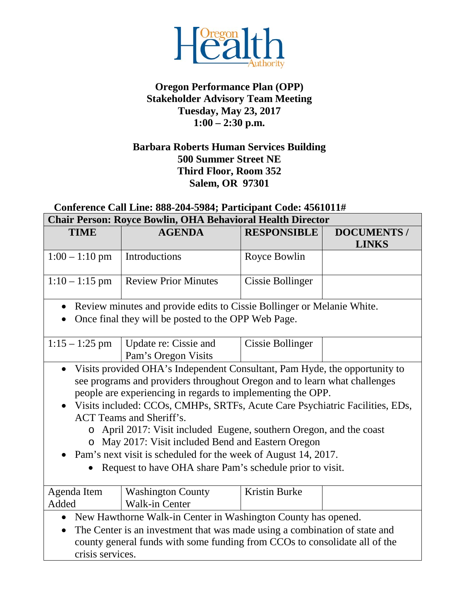

## **Oregon Performance Plan (OPP) Stakeholder Advisory Team Meeting Tuesday, May 23, 2017 1:00 – 2:30 p.m.**

## **Barbara Roberts Human Services Building 500 Summer Street NE Third Floor, Room 352 Salem, OR 97301**

## **Conference Call Line: 888-204-5984; Participant Code: 4561011# Chair Person: Royce Bowlin, OHA Behavioral Health Director**

| Chaif Fefson; Koyce Downn, Ofia Denavioral Health Difector<br><b>TIME</b><br><b>AGENDA</b><br><b>RESPONSIBLE</b><br><b>DOCUMENTS</b> /                                                                                                                                                                                                                                                                                                                                                                                                                                                                                       |                                                                        |                  |              |  |
|------------------------------------------------------------------------------------------------------------------------------------------------------------------------------------------------------------------------------------------------------------------------------------------------------------------------------------------------------------------------------------------------------------------------------------------------------------------------------------------------------------------------------------------------------------------------------------------------------------------------------|------------------------------------------------------------------------|------------------|--------------|--|
|                                                                                                                                                                                                                                                                                                                                                                                                                                                                                                                                                                                                                              |                                                                        |                  | <b>LINKS</b> |  |
| $1:00 - 1:10$ pm                                                                                                                                                                                                                                                                                                                                                                                                                                                                                                                                                                                                             | Introductions                                                          | Royce Bowlin     |              |  |
| $1:10 - 1:15$ pm                                                                                                                                                                                                                                                                                                                                                                                                                                                                                                                                                                                                             | <b>Review Prior Minutes</b>                                            | Cissie Bollinger |              |  |
| $\bullet$                                                                                                                                                                                                                                                                                                                                                                                                                                                                                                                                                                                                                    | Review minutes and provide edits to Cissie Bollinger or Melanie White. |                  |              |  |
|                                                                                                                                                                                                                                                                                                                                                                                                                                                                                                                                                                                                                              | Once final they will be posted to the OPP Web Page.                    |                  |              |  |
|                                                                                                                                                                                                                                                                                                                                                                                                                                                                                                                                                                                                                              |                                                                        |                  |              |  |
| $1:15 - 1:25$ pm                                                                                                                                                                                                                                                                                                                                                                                                                                                                                                                                                                                                             | Update re: Cissie and<br>Pam's Oregon Visits                           | Cissie Bollinger |              |  |
| Visits provided OHA's Independent Consultant, Pam Hyde, the opportunity to<br>$\bullet$<br>see programs and providers throughout Oregon and to learn what challenges<br>people are experiencing in regards to implementing the OPP.<br>Visits included: CCOs, CMHPs, SRTFs, Acute Care Psychiatric Facilities, EDs,<br><b>ACT</b> Teams and Sheriff's.<br>April 2017: Visit included Eugene, southern Oregon, and the coast<br>$\circ$<br>o May 2017: Visit included Bend and Eastern Oregon<br>• Pam's next visit is scheduled for the week of August 14, 2017.<br>Request to have OHA share Pam's schedule prior to visit. |                                                                        |                  |              |  |
| Agenda Item                                                                                                                                                                                                                                                                                                                                                                                                                                                                                                                                                                                                                  | <b>Washington County</b>                                               | Kristin Burke    |              |  |
| Added                                                                                                                                                                                                                                                                                                                                                                                                                                                                                                                                                                                                                        | Walk-in Center                                                         |                  |              |  |
| • New Hawthorne Walk-in Center in Washington County has opened.                                                                                                                                                                                                                                                                                                                                                                                                                                                                                                                                                              |                                                                        |                  |              |  |
| The Center is an investment that was made using a combination of state and<br>$\bullet$<br>county general funds with some funding from CCOs to consolidate all of the<br>crisis services.                                                                                                                                                                                                                                                                                                                                                                                                                                    |                                                                        |                  |              |  |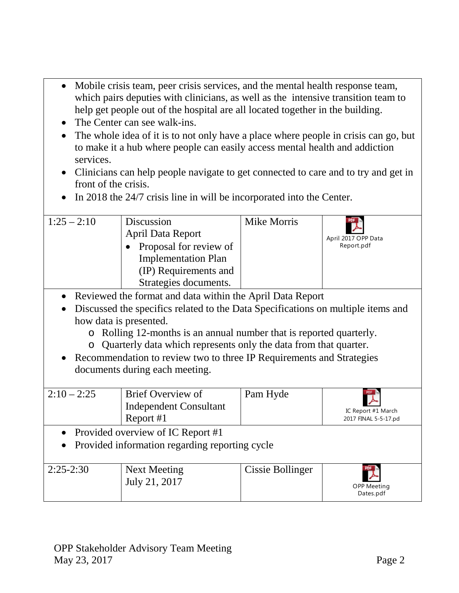- Mobile crisis team, peer crisis services, and the mental health response team, which pairs deputies with clinicians, as well as the intensive transition team to help get people out of the hospital are all located together in the building.
- The Center can see walk-ins.
- The whole idea of it is to not only have a place where people in crisis can go, but to make it a hub where people can easily access mental health and addiction services.
- Clinicians can help people navigate to get connected to care and to try and get in front of the crisis.
- In 2018 the 24/7 crisis line in will be incorporated into the Center.

| $1:25 - 2:10$ | Discussion<br><b>April Data Report</b><br>Proposal for review of<br><b>Implementation Plan</b><br>(IP) Requirements and<br>Strategies documents. | Mike Morris | April 2017 OPP Data<br>Report.pdf |
|---------------|--------------------------------------------------------------------------------------------------------------------------------------------------|-------------|-----------------------------------|
|               | • Reviewed the format and data within the April Data Report                                                                                      |             |                                   |

- Discussed the specifics related to the Data Specifications on multiple items and how data is presented.
	- o Rolling 12-months is an annual number that is reported quarterly.
	- o Quarterly data which represents only the data from that quarter.
- Recommendation to review two to three IP Requirements and Strategies documents during each meeting.

| $2:10 - 2:25$                                                                           | Brief Overview of<br><b>Independent Consultant</b><br>Report #1 | Pam Hyde         | IC Report #1 March<br>2017 FINAL 5-5-17.pd |  |
|-----------------------------------------------------------------------------------------|-----------------------------------------------------------------|------------------|--------------------------------------------|--|
| • Provided overview of IC Report #1<br>• Provided information regarding reporting cycle |                                                                 |                  |                                            |  |
| $2:25-2:30$                                                                             | <b>Next Meeting</b><br>July 21, 2017                            | Cissie Bollinger | <b>OPP Meeting</b><br>Dates.pdf            |  |